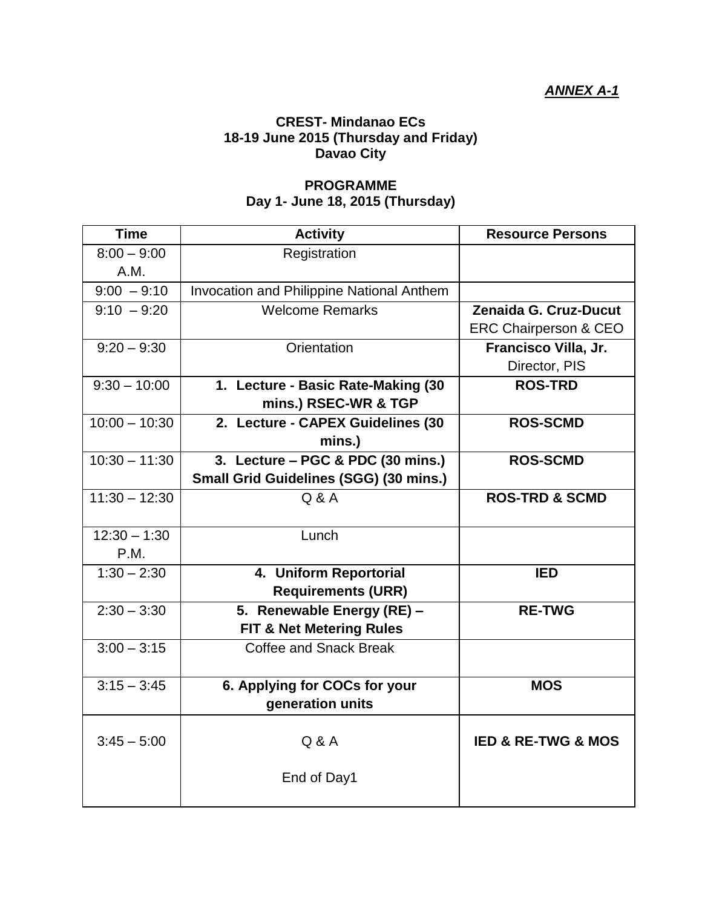## **CREST- Mindanao ECs 18-19 June 2015 (Thursday and Friday) Davao City**

## **PROGRAMME Day 1- June 18, 2015 (Thursday)**

| <b>Time</b>     | <b>Activity</b>                           | <b>Resource Persons</b>           |
|-----------------|-------------------------------------------|-----------------------------------|
| $8:00 - 9:00$   | Registration                              |                                   |
| A.M.            |                                           |                                   |
| $9:00 - 9:10$   | Invocation and Philippine National Anthem |                                   |
| $9:10 - 9:20$   | <b>Welcome Remarks</b>                    | Zenaida G. Cruz-Ducut             |
|                 |                                           | <b>ERC Chairperson &amp; CEO</b>  |
| $9:20 - 9:30$   | Orientation                               | Francisco Villa, Jr.              |
|                 |                                           | Director, PIS                     |
| $9:30 - 10:00$  | 1. Lecture - Basic Rate-Making (30        | <b>ROS-TRD</b>                    |
|                 | mins.) RSEC-WR & TGP                      |                                   |
| $10:00 - 10:30$ | 2. Lecture - CAPEX Guidelines (30         | <b>ROS-SCMD</b>                   |
|                 | mins.)                                    |                                   |
| $10:30 - 11:30$ | 3. Lecture – PGC & PDC (30 mins.)         | <b>ROS-SCMD</b>                   |
|                 | Small Grid Guidelines (SGG) (30 mins.)    |                                   |
| $11:30 - 12:30$ | Q & A                                     | <b>ROS-TRD &amp; SCMD</b>         |
|                 |                                           |                                   |
| $12:30 - 1:30$  | Lunch                                     |                                   |
| P.M.            |                                           |                                   |
| $1:30 - 2:30$   | 4. Uniform Reportorial                    | <b>IED</b>                        |
|                 | <b>Requirements (URR)</b>                 |                                   |
| $2:30 - 3:30$   | 5. Renewable Energy (RE) -                | <b>RE-TWG</b>                     |
|                 | <b>FIT &amp; Net Metering Rules</b>       |                                   |
| $3:00 - 3:15$   | Coffee and Snack Break                    |                                   |
|                 |                                           |                                   |
| $3:15 - 3:45$   | 6. Applying for COCs for your             | <b>MOS</b>                        |
|                 | generation units                          |                                   |
|                 |                                           |                                   |
| $3:45 - 5:00$   | Q & A                                     | <b>IED &amp; RE-TWG &amp; MOS</b> |
|                 |                                           |                                   |
|                 | End of Day1                               |                                   |
|                 |                                           |                                   |